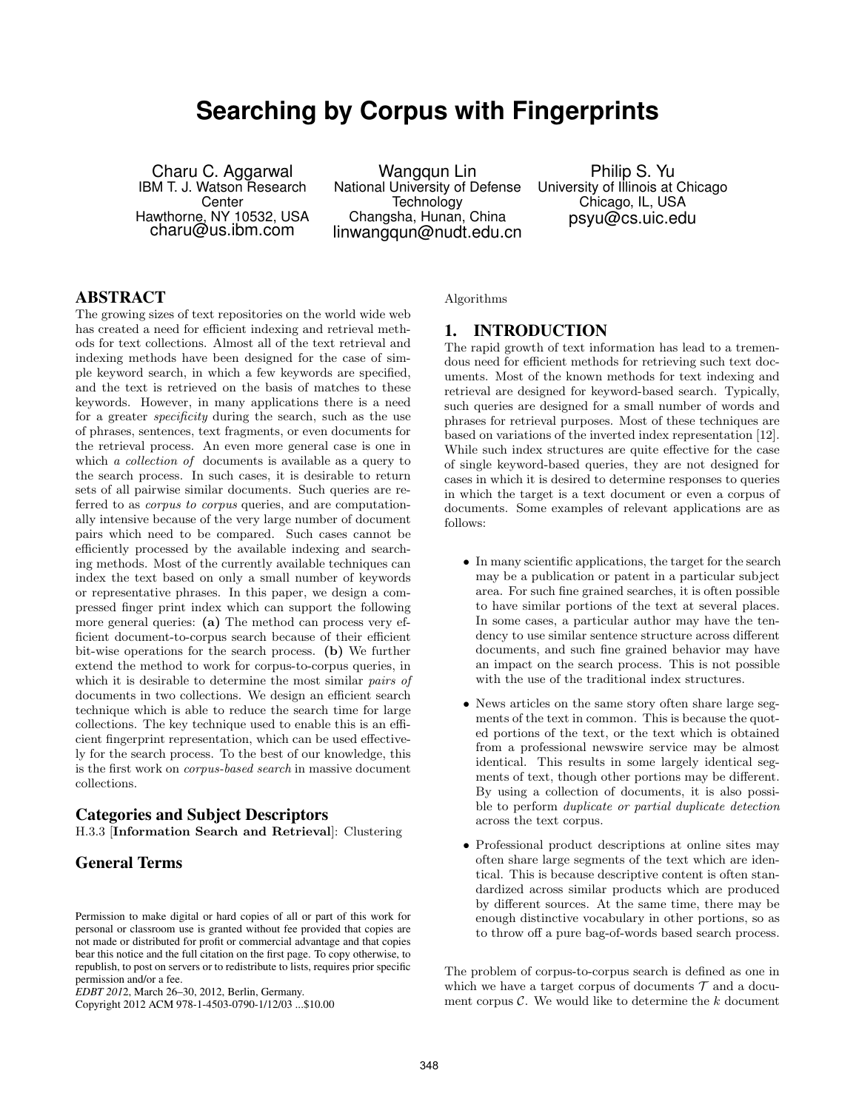# **Searching by Corpus with Fingerprints**

Charu C. Aggarwal IBM T. J. Watson Research Center Hawthorne, NY 10532, USA charu@us.ibm.com

Wangqun Lin National University of Defense **Technology** Changsha, Hunan, China linwangqun@nudt.edu.cn

Philip S. Yu University of Illinois at Chicago Chicago, IL, USA psyu@cs.uic.edu

#### **ABSTRACT**

The growing sizes of text repositories on the world wide web has created a need for efficient indexing and retrieval methods for text collections. Almost all of the text retrieval and indexing methods have been designed for the case of simple keyword search, in which a few keywords are specified, and the text is retrieved on the basis of matches to these keywords. However, in many applications there is a need for a greater specificity during the search, such as the use of phrases, sentences, text fragments, or even documents for the retrieval process. An even more general case is one in which *a collection of* documents is available as a query to the search process. In such cases, it is desirable to return sets of all pairwise similar documents. Such queries are referred to as corpus to corpus queries, and are computationally intensive because of the very large number of document pairs which need to be compared. Such cases cannot be efficiently processed by the available indexing and searching methods. Most of the currently available techniques can index the text based on only a small number of keywords or representative phrases. In this paper, we design a compressed finger print index which can support the following more general queries: (a) The method can process very efficient document-to-corpus search because of their efficient bit-wise operations for the search process. (b) We further extend the method to work for corpus-to-corpus queries, in which it is desirable to determine the most similar *pairs of* documents in two collections. We design an efficient search technique which is able to reduce the search time for large collections. The key technique used to enable this is an efficient fingerprint representation, which can be used effectively for the search process. To the best of our knowledge, this is the first work on corpus-based search in massive document collections.

#### **Categories and Subject Descriptors**

H.3.3 [Information Search and Retrieval]: Clustering

# **General Terms**

Copyright 2012 ACM 978-1-4503-0790-1/12/03 ...\$10.00

Algorithms

# **1. INTRODUCTION**

The rapid growth of text information has lead to a tremendous need for efficient methods for retrieving such text documents. Most of the known methods for text indexing and retrieval are designed for keyword-based search. Typically, such queries are designed for a small number of words and phrases for retrieval purposes. Most of these techniques are based on variations of the inverted index representation [12]. While such index structures are quite effective for the case of single keyword-based queries, they are not designed for cases in which it is desired to determine responses to queries in which the target is a text document or even a corpus of documents. Some examples of relevant applications are as follows:

- In many scientific applications, the target for the search may be a publication or patent in a particular subject area. For such fine grained searches, it is often possible to have similar portions of the text at several places. In some cases, a particular author may have the tendency to use similar sentence structure across different documents, and such fine grained behavior may have an impact on the search process. This is not possible with the use of the traditional index structures.
- News articles on the same story often share large segments of the text in common. This is because the quoted portions of the text, or the text which is obtained from a professional newswire service may be almost identical. This results in some largely identical segments of text, though other portions may be different. By using a collection of documents, it is also possible to perform duplicate or partial duplicate detection across the text corpus.
- Professional product descriptions at online sites may often share large segments of the text which are identical. This is because descriptive content is often standardized across similar products which are produced by different sources. At the same time, there may be enough distinctive vocabulary in other portions, so as to throw off a pure bag-of-words based search process.

The problem of corpus-to-corpus search is defined as one in which we have a target corpus of documents  $\mathcal T$  and a document corpus  $C$ . We would like to determine the  $k$  document

Permission to make digital or hard copies of all or part of this work for personal or classroom use is granted without fee provided that copies are not made or distributed for profit or commercial advantage and that copies bear this notice and the full citation on the first page. To copy otherwise, to republish, to post on servers or to redistribute to lists, requires prior specific permission and/or a fee.

*EDBT 201* 2, March 26–30, 2012, Berlin, Germany.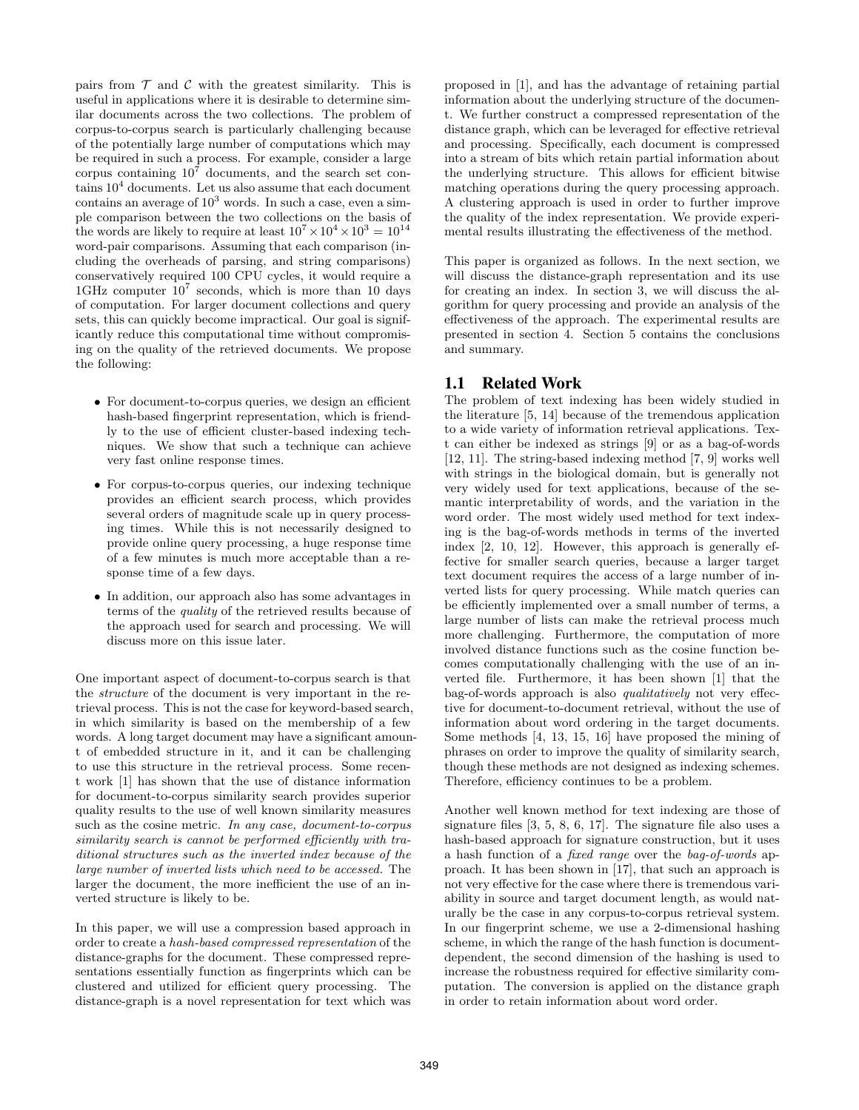pairs from  $\mathcal T$  and  $\mathcal C$  with the greatest similarity. This is useful in applications where it is desirable to determine similar documents across the two collections. The problem of corpus-to-corpus search is particularly challenging because of the potentially large number of computations which may be required in such a process. For example, consider a large corpus containing  $10<sup>7</sup>$  documents, and the search set contains 10<sup>4</sup> documents. Let us also assume that each document contains an average of  $10^3$  words. In such a case, even a simple comparison between the two collections on the basis of the words are likely to require at least  $10^7 \times 10^4 \times 10^3 = 10^{14}$ word-pair comparisons. Assuming that each comparison (including the overheads of parsing, and string comparisons) conservatively required 100 CPU cycles, it would require a 1GHz computer  $10^7$  seconds, which is more than 10 days of computation. For larger document collections and query sets, this can quickly become impractical. Our goal is significantly reduce this computational time without compromising on the quality of the retrieved documents. We propose the following:

- For document-to-corpus queries, we design an efficient hash-based fingerprint representation, which is friendly to the use of efficient cluster-based indexing techniques. We show that such a technique can achieve very fast online response times.
- For corpus-to-corpus queries, our indexing technique provides an efficient search process, which provides several orders of magnitude scale up in query processing times. While this is not necessarily designed to provide online query processing, a huge response time of a few minutes is much more acceptable than a response time of a few days.
- In addition, our approach also has some advantages in terms of the quality of the retrieved results because of the approach used for search and processing. We will discuss more on this issue later.

One important aspect of document-to-corpus search is that the structure of the document is very important in the retrieval process. This is not the case for keyword-based search, in which similarity is based on the membership of a few words. A long target document may have a significant amount of embedded structure in it, and it can be challenging to use this structure in the retrieval process. Some recent work [1] has shown that the use of distance information for document-to-corpus similarity search provides superior quality results to the use of well known similarity measures such as the cosine metric. In any case, document-to-corpus similarity search is cannot be performed efficiently with traditional structures such as the inverted index because of the large number of inverted lists which need to be accessed. The larger the document, the more inefficient the use of an inverted structure is likely to be.

In this paper, we will use a compression based approach in order to create a hash-based compressed representation of the distance-graphs for the document. These compressed representations essentially function as fingerprints which can be clustered and utilized for efficient query processing. The distance-graph is a novel representation for text which was proposed in [1], and has the advantage of retaining partial information about the underlying structure of the document. We further construct a compressed representation of the distance graph, which can be leveraged for effective retrieval and processing. Specifically, each document is compressed into a stream of bits which retain partial information about the underlying structure. This allows for efficient bitwise matching operations during the query processing approach. A clustering approach is used in order to further improve the quality of the index representation. We provide experimental results illustrating the effectiveness of the method.

This paper is organized as follows. In the next section, we will discuss the distance-graph representation and its use for creating an index. In section 3, we will discuss the algorithm for query processing and provide an analysis of the effectiveness of the approach. The experimental results are presented in section 4. Section 5 contains the conclusions and summary.

# **1.1 Related Work**

The problem of text indexing has been widely studied in the literature [5, 14] because of the tremendous application to a wide variety of information retrieval applications. Text can either be indexed as strings [9] or as a bag-of-words [12, 11]. The string-based indexing method [7, 9] works well with strings in the biological domain, but is generally not very widely used for text applications, because of the semantic interpretability of words, and the variation in the word order. The most widely used method for text indexing is the bag-of-words methods in terms of the inverted index [2, 10, 12]. However, this approach is generally effective for smaller search queries, because a larger target text document requires the access of a large number of inverted lists for query processing. While match queries can be efficiently implemented over a small number of terms, a large number of lists can make the retrieval process much more challenging. Furthermore, the computation of more involved distance functions such as the cosine function becomes computationally challenging with the use of an inverted file. Furthermore, it has been shown [1] that the bag-of-words approach is also qualitatively not very effective for document-to-document retrieval, without the use of information about word ordering in the target documents. Some methods [4, 13, 15, 16] have proposed the mining of phrases on order to improve the quality of similarity search, though these methods are not designed as indexing schemes. Therefore, efficiency continues to be a problem.

Another well known method for text indexing are those of signature files [3, 5, 8, 6, 17]. The signature file also uses a hash-based approach for signature construction, but it uses a hash function of a fixed range over the bag-of-words approach. It has been shown in [17], that such an approach is not very effective for the case where there is tremendous variability in source and target document length, as would naturally be the case in any corpus-to-corpus retrieval system. In our fingerprint scheme, we use a 2-dimensional hashing scheme, in which the range of the hash function is documentdependent, the second dimension of the hashing is used to increase the robustness required for effective similarity computation. The conversion is applied on the distance graph in order to retain information about word order.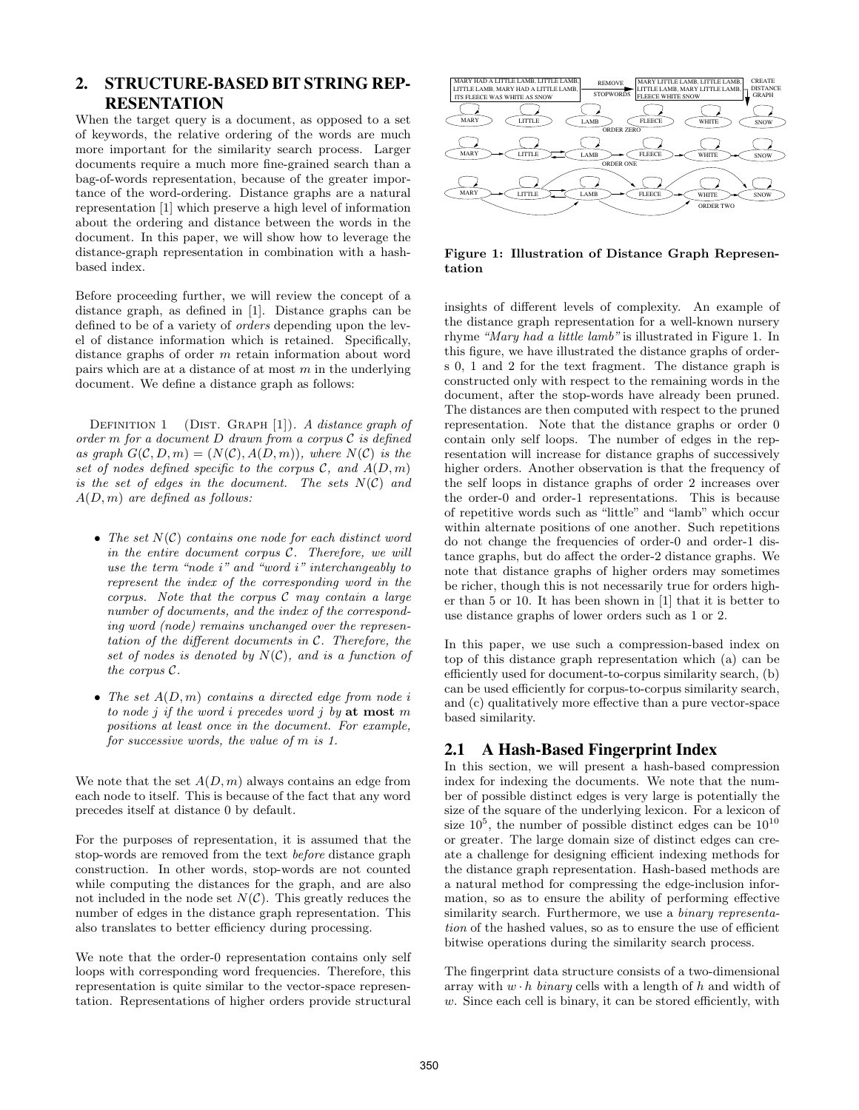# **2. STRUCTURE-BASED BIT STRING REP-RESENTATION**

When the target query is a document, as opposed to a set of keywords, the relative ordering of the words are much more important for the similarity search process. Larger documents require a much more fine-grained search than a bag-of-words representation, because of the greater importance of the word-ordering. Distance graphs are a natural representation [1] which preserve a high level of information about the ordering and distance between the words in the document. In this paper, we will show how to leverage the distance-graph representation in combination with a hashbased index.

Before proceeding further, we will review the concept of a distance graph, as defined in [1]. Distance graphs can be defined to be of a variety of orders depending upon the level of distance information which is retained. Specifically, distance graphs of order m retain information about word pairs which are at a distance of at most  $m$  in the underlying document. We define a distance graph as follows:

DEFINITION 1 (DIST. GRAPH  $[1]$ ). A distance graph of order  $m$  for a document  $D$  drawn from a corpus  $C$  is defined as graph  $G(\mathcal{C}, D, m) = (N(\mathcal{C}), A(D, m))$ , where  $N(\mathcal{C})$  is the set of nodes defined specific to the corpus  $\mathcal{C}$ , and  $A(D, m)$ is the set of edges in the document. The sets  $N(\mathcal{C})$  and  $A(D, m)$  are defined as follows:

- The set  $N(\mathcal{C})$  contains one node for each distinct word in the entire document corpus C. Therefore, we will use the term "node i" and "word i" interchangeably to represent the index of the corresponding word in the corpus. Note that the corpus  $C$  may contain a large number of documents, and the index of the corresponding word (node) remains unchanged over the representation of the different documents in C. Therefore, the set of nodes is denoted by  $N(\mathcal{C})$ , and is a function of the corpus C.
- The set  $A(D, m)$  contains a directed edge from node i to node j if the word i precedes word j by at most m positions at least once in the document. For example, for successive words, the value of m is 1.

We note that the set  $A(D, m)$  always contains an edge from each node to itself. This is because of the fact that any word precedes itself at distance 0 by default.

For the purposes of representation, it is assumed that the stop-words are removed from the text before distance graph construction. In other words, stop-words are not counted while computing the distances for the graph, and are also not included in the node set  $N(\mathcal{C})$ . This greatly reduces the number of edges in the distance graph representation. This also translates to better efficiency during processing.

We note that the order-0 representation contains only self loops with corresponding word frequencies. Therefore, this representation is quite similar to the vector-space representation. Representations of higher orders provide structural



Figure 1: Illustration of Distance Graph Representation

insights of different levels of complexity. An example of the distance graph representation for a well-known nursery rhyme "Mary had a little lamb" is illustrated in Figure 1. In this figure, we have illustrated the distance graphs of orders 0, 1 and 2 for the text fragment. The distance graph is constructed only with respect to the remaining words in the document, after the stop-words have already been pruned. The distances are then computed with respect to the pruned representation. Note that the distance graphs or order 0 contain only self loops. The number of edges in the representation will increase for distance graphs of successively higher orders. Another observation is that the frequency of the self loops in distance graphs of order 2 increases over the order-0 and order-1 representations. This is because of repetitive words such as "little" and "lamb" which occur within alternate positions of one another. Such repetitions do not change the frequencies of order-0 and order-1 distance graphs, but do affect the order-2 distance graphs. We note that distance graphs of higher orders may sometimes be richer, though this is not necessarily true for orders higher than 5 or 10. It has been shown in [1] that it is better to use distance graphs of lower orders such as 1 or 2.

In this paper, we use such a compression-based index on top of this distance graph representation which (a) can be efficiently used for document-to-corpus similarity search, (b) can be used efficiently for corpus-to-corpus similarity search, and (c) qualitatively more effective than a pure vector-space based similarity.

# **2.1 A Hash-Based Fingerprint Index**

In this section, we will present a hash-based compression index for indexing the documents. We note that the number of possible distinct edges is very large is potentially the size of the square of the underlying lexicon. For a lexicon of size  $10^5$ , the number of possible distinct edges can be  $10^{10}$ or greater. The large domain size of distinct edges can create a challenge for designing efficient indexing methods for the distance graph representation. Hash-based methods are a natural method for compressing the edge-inclusion information, so as to ensure the ability of performing effective similarity search. Furthermore, we use a *binary representa*tion of the hashed values, so as to ensure the use of efficient bitwise operations during the similarity search process.

The fingerprint data structure consists of a two-dimensional array with  $w \cdot h$  binary cells with a length of h and width of w. Since each cell is binary, it can be stored efficiently, with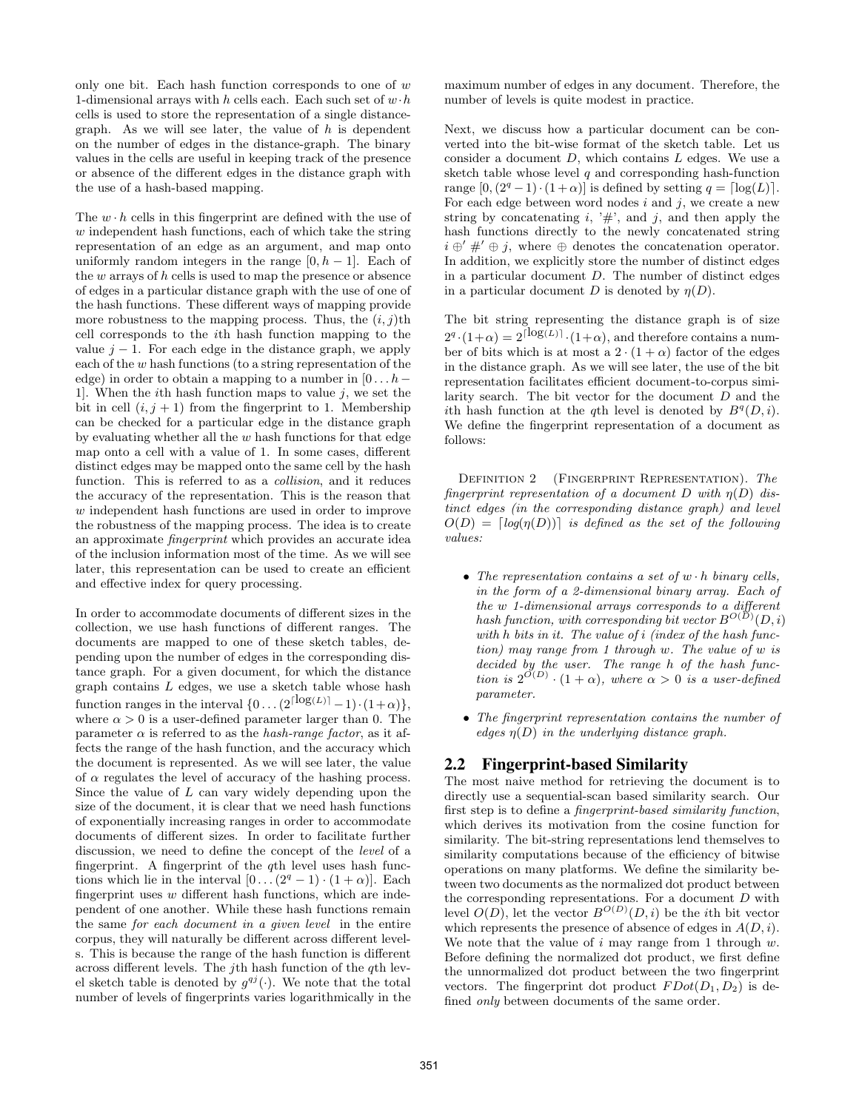only one bit. Each hash function corresponds to one of  $w$ 1-dimensional arrays with h cells each. Each such set of  $w \cdot h$ cells is used to store the representation of a single distancegraph. As we will see later, the value of  $h$  is dependent on the number of edges in the distance-graph. The binary values in the cells are useful in keeping track of the presence or absence of the different edges in the distance graph with the use of a hash-based mapping.

The  $w \cdot h$  cells in this fingerprint are defined with the use of w independent hash functions, each of which take the string representation of an edge as an argument, and map onto uniformly random integers in the range  $[0, h - 1]$ . Each of the  $w$  arrays of  $h$  cells is used to map the presence or absence of edges in a particular distance graph with the use of one of the hash functions. These different ways of mapping provide more robustness to the mapping process. Thus, the  $(i, j)$ th cell corresponds to the ith hash function mapping to the value  $j - 1$ . For each edge in the distance graph, we apply each of the  $w$  hash functions (to a string representation of the edge) in order to obtain a mapping to a number in  $[0 \dots h-$ 1]. When the *i*th hash function maps to value  $j$ , we set the bit in cell  $(i, j + 1)$  from the fingerprint to 1. Membership can be checked for a particular edge in the distance graph by evaluating whether all the  $w$  hash functions for that edge map onto a cell with a value of 1. In some cases, different distinct edges may be mapped onto the same cell by the hash function. This is referred to as a *collision*, and it reduces the accuracy of the representation. This is the reason that w independent hash functions are used in order to improve the robustness of the mapping process. The idea is to create an approximate fingerprint which provides an accurate idea of the inclusion information most of the time. As we will see later, this representation can be used to create an efficient and effective index for query processing.

In order to accommodate documents of different sizes in the collection, we use hash functions of different ranges. The documents are mapped to one of these sketch tables, depending upon the number of edges in the corresponding distance graph. For a given document, for which the distance graph contains L edges, we use a sketch table whose hash function ranges in the interval  $\{0 \dots (2^{\lceil \log(L) \rceil} - 1) \cdot (1 + \alpha) \}$ , where  $\alpha > 0$  is a user-defined parameter larger than 0. The parameter  $\alpha$  is referred to as the *hash-range factor*, as it affects the range of the hash function, and the accuracy which the document is represented. As we will see later, the value of  $\alpha$  regulates the level of accuracy of the hashing process. Since the value of  $L$  can vary widely depending upon the size of the document, it is clear that we need hash functions of exponentially increasing ranges in order to accommodate documents of different sizes. In order to facilitate further discussion, we need to define the concept of the level of a fingerprint. A fingerprint of the  $q$ th level uses hash functions which lie in the interval  $[0 \dots (2^q - 1) \cdot (1 + \alpha)]$ . Each fingerprint uses  $w$  different hash functions, which are independent of one another. While these hash functions remain the same for each document in a given level in the entire corpus, they will naturally be different across different levels. This is because the range of the hash function is different across different levels. The *j*th hash function of the  $q$ <sup>th</sup> level sketch table is denoted by  $g^{qj}(\cdot)$ . We note that the total number of levels of fingerprints varies logarithmically in the maximum number of edges in any document. Therefore, the number of levels is quite modest in practice.

Next, we discuss how a particular document can be converted into the bit-wise format of the sketch table. Let us consider a document D, which contains L edges. We use a sketch table whose level  $q$  and corresponding hash-function range  $[0,(2^q-1)\cdot(1+\alpha)]$  is defined by setting  $q = \lceil \log(L) \rceil$ . For each edge between word nodes  $i$  and  $j$ , we create a new string by concatenating  $i, '#$ ', and j, and then apply the hash functions directly to the newly concatenated string  $i \oplus' \#' \oplus j$ , where  $\oplus$  denotes the concatenation operator. In addition, we explicitly store the number of distinct edges in a particular document  $D$ . The number of distinct edges in a particular document D is denoted by  $\eta(D)$ .

The bit string representing the distance graph is of size  $2^q \cdot (1+\alpha) = 2^{\lceil \log(L) \rceil} \cdot (1+\alpha)$ , and therefore contains a number of bits which is at most a  $2 \cdot (1 + \alpha)$  factor of the edges in the distance graph. As we will see later, the use of the bit representation facilitates efficient document-to-corpus similarity search. The bit vector for the document D and the ith hash function at the qth level is denoted by  $B^q(D, i)$ . We define the fingerprint representation of a document as follows:

DEFINITION 2 (FINGERPRINT REPRESENTATION). The fingerprint representation of a document D with  $\eta(D)$  distinct edges (in the corresponding distance graph) and level  $O(D) = \lceil log(\eta(D)) \rceil$  is defined as the set of the following values:

- The representation contains a set of  $w \cdot h$  binary cells, in the form of a 2-dimensional binary array. Each of the w 1-dimensional arrays corresponds to a different hash function, with corresponding bit vector  $B^{O(D)}(D,i)$ with h bits in it. The value of *i* (index of the hash function) may range from 1 through w. The value of w is decided by the user. The range h of the hash function is  $2^{O(D)} \cdot (1 + \alpha)$ , where  $\alpha > 0$  is a user-defined parameter.
- The fingerprint representation contains the number of edges  $\eta(D)$  in the underlying distance graph.

# **2.2 Fingerprint-based Similarity**

The most naive method for retrieving the document is to directly use a sequential-scan based similarity search. Our first step is to define a fingerprint-based similarity function, which derives its motivation from the cosine function for similarity. The bit-string representations lend themselves to similarity computations because of the efficiency of bitwise operations on many platforms. We define the similarity between two documents as the normalized dot product between the corresponding representations. For a document D with level  $O(D)$ , let the vector  $B^{O(D)}(D, i)$  be the *i*th bit vector which represents the presence of absence of edges in  $A(D, i)$ . We note that the value of  $i$  may range from 1 through  $w$ . Before defining the normalized dot product, we first define the unnormalized dot product between the two fingerprint vectors. The fingerprint dot product  $FDot(D_1, D_2)$  is defined only between documents of the same order.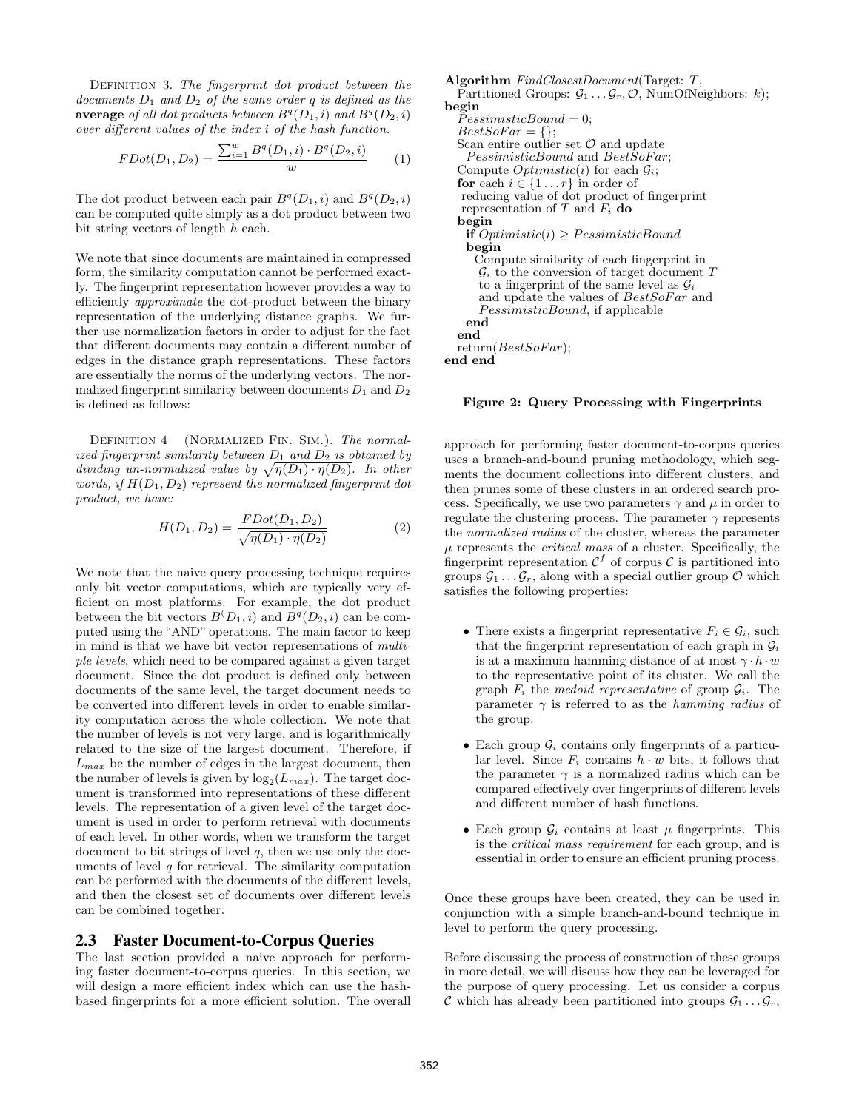DEFINITION 3. The fingerprint dot product between the documents  $D_1$  and  $D_2$  of the same order q is defined as the average of all dot products between  $B<sup>q</sup>(D_1, i)$  and  $B<sup>q</sup>(D_2, i)$ over different values of the index i of the hash function.

$$
FDot(D_1, D_2) = \frac{\sum_{i=1}^{w} B^q(D_1, i) \cdot B^q(D_2, i)}{w}
$$
 (1)

The dot product between each pair  $B^q(D_1, i)$  and  $B^q(D_2, i)$ can be computed quite simply as a dot product between two bit string vectors of length h each.

We note that since documents are maintained in compressed form, the similarity computation cannot be performed exactly. The fingerprint representation however provides a way to efficiently approximate the dot-product between the binary representation of the underlying distance graphs. We further use normalization factors in order to adjust for the fact that different documents may contain a different number of edges in the distance graph representations. These factors are essentially the norms of the underlying vectors. The normalized fingerprint similarity between documents  $D_1$  and  $D_2$ is defined as follows:

DEFINITION 4 (NORMALIZED FIN. SIM.). The normalized fingerprint similarity between  $D_1$  and  $D_2$  is obtained by dividing un-normalized value by  $\sqrt{\eta(D_1) \cdot \eta(D_2)}$ . In other words, if  $H(D_1, D_2)$  represent the normalized fingerprint dot product, we have:

$$
H(D_1, D_2) = \frac{FDot(D_1, D_2)}{\sqrt{\eta(D_1) \cdot \eta(D_2)}}
$$
 (2)

We note that the naive query processing technique requires only bit vector computations, which are typically very efficient on most platforms. For example, the dot product between the bit vectors  $B(D_1, i)$  and  $B<sup>q</sup>(D_2, i)$  can be computed using the "AND" operations. The main factor to keep in mind is that we have bit vector representations of multiple levels, which need to be compared against a given target document. Since the dot product is defined only between documents of the same level, the target document needs to be converted into different levels in order to enable similarity computation across the whole collection. We note that the number of levels is not very large, and is logarithmically related to the size of the largest document. Therefore, if  $L_{max}$  be the number of edges in the largest document, then the number of levels is given by  $\log_2(L_{max})$ . The target document is transformed into representations of these different levels. The representation of a given level of the target document is used in order to perform retrieval with documents of each level. In other words, when we transform the target document to bit strings of level  $q$ , then we use only the documents of level  $q$  for retrieval. The similarity computation can be performed with the documents of the different levels, and then the closest set of documents over different levels can be combined together.

#### **2.3 Faster Document-to-Corpus Queries**

The last section provided a naive approach for performing faster document-to-corpus queries. In this section, we will design a more efficient index which can use the hashbased fingerprints for a more efficient solution. The overall

Algorithm FindClosestDocument(Target: T, Partitioned Groups:  $\mathcal{G}_1 \dots \mathcal{G}_r$ ,  $\mathcal{O}$ , NumOfNeighbors: k); begin  $P \text{ } e$ ssimisticBound = 0;  $BestSoFar = \{\};$ Scan entire outlier set  $\mathcal O$  and update  $P \& is finite Bound$  and  $Best\& of Far;$ Compute  $Optimistic(i)$  for each  $\mathcal{G}_i$ ; **for** each  $i \in \{1...r\}$  in order of<br>reducing value of dot product of fingerprint representation of  $T$  and  $F_i$  do begin if  $Optimistic(i) \geq P \, e \, isimisticBound$ begin Compute similarity of each fingerprint in  $\mathcal{G}_i$  to the conversion of target document T to a fingerprint of the same level as  $\mathcal{G}_i$ and update the values of  $BestSoFar$  and PessimisticBound, if applicable end end  $return(BestSoFar);$ end end

#### Figure 2: Query Processing with Fingerprints

approach for performing faster document-to-corpus queries uses a branch-and-bound pruning methodology, which segments the document collections into different clusters, and then prunes some of these clusters in an ordered search process. Specifically, we use two parameters  $\gamma$  and  $\mu$  in order to regulate the clustering process. The parameter  $\gamma$  represents the normalized radius of the cluster, whereas the parameter  $\mu$  represents the *critical mass* of a cluster. Specifically, the fingerprint representation  $\mathcal{C}^f$  of corpus  $\mathcal{C}$  is partitioned into groups  $\mathcal{G}_1 \ldots \mathcal{G}_r$ , along with a special outlier group  $\mathcal O$  which satisfies the following properties:

- There exists a fingerprint representative  $F_i \in \mathcal{G}_i$ , such that the fingerprint representation of each graph in  $\mathcal{G}_i$ is at a maximum hamming distance of at most  $\gamma \cdot h \cdot w$ to the representative point of its cluster. We call the graph  $F_i$  the medoid representative of group  $\mathcal{G}_i$ . The parameter  $\gamma$  is referred to as the hamming radius of the group.
- Each group  $\mathcal{G}_i$  contains only fingerprints of a particular level. Since  $F_i$  contains  $h \cdot w$  bits, it follows that the parameter  $\gamma$  is a normalized radius which can be compared effectively over fingerprints of different levels and different number of hash functions.
- Each group  $\mathcal{G}_i$  contains at least  $\mu$  fingerprints. This is the critical mass requirement for each group, and is essential in order to ensure an efficient pruning process.

Once these groups have been created, they can be used in conjunction with a simple branch-and-bound technique in level to perform the query processing.

Before discussing the process of construction of these groups in more detail, we will discuss how they can be leveraged for the purpose of query processing. Let us consider a corpus C which has already been partitioned into groups  $\mathcal{G}_1 \dots \mathcal{G}_r$ ,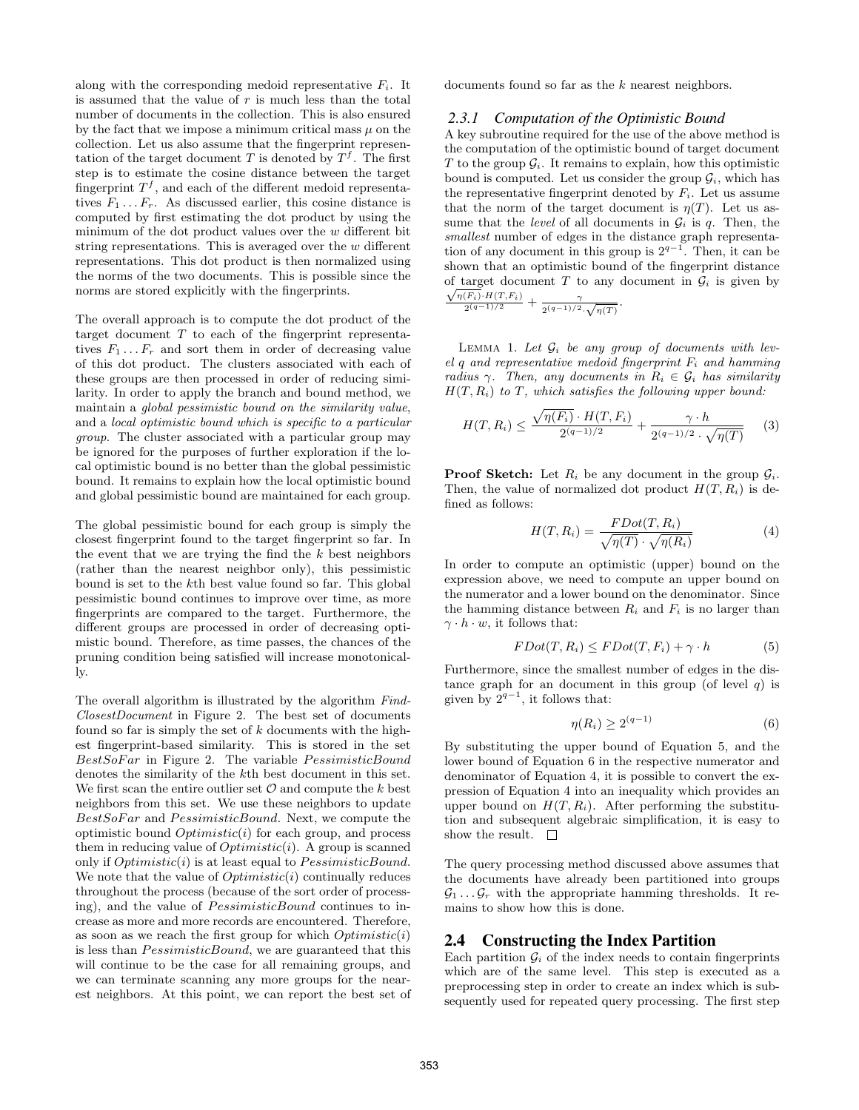along with the corresponding medoid representative  $F_i$ . It is assumed that the value of  $r$  is much less than the total number of documents in the collection. This is also ensured by the fact that we impose a minimum critical mass  $\mu$  on the collection. Let us also assume that the fingerprint representation of the target document T is denoted by  $T<sup>f</sup>$ . The first step is to estimate the cosine distance between the target fingerprint  $T<sup>f</sup>$ , and each of the different medoid representatives  $F_1 \ldots F_r$ . As discussed earlier, this cosine distance is computed by first estimating the dot product by using the minimum of the dot product values over the  $w$  different bit string representations. This is averaged over the  $w$  different representations. This dot product is then normalized using the norms of the two documents. This is possible since the norms are stored explicitly with the fingerprints.

The overall approach is to compute the dot product of the target document  $T$  to each of the fingerprint representatives  $F_1 \ldots F_r$  and sort them in order of decreasing value of this dot product. The clusters associated with each of these groups are then processed in order of reducing similarity. In order to apply the branch and bound method, we maintain a global pessimistic bound on the similarity value, and a local optimistic bound which is specific to a particular group. The cluster associated with a particular group may be ignored for the purposes of further exploration if the local optimistic bound is no better than the global pessimistic bound. It remains to explain how the local optimistic bound and global pessimistic bound are maintained for each group.

The global pessimistic bound for each group is simply the closest fingerprint found to the target fingerprint so far. In the event that we are trying the find the  $k$  best neighbors (rather than the nearest neighbor only), this pessimistic bound is set to the kth best value found so far. This global pessimistic bound continues to improve over time, as more fingerprints are compared to the target. Furthermore, the different groups are processed in order of decreasing optimistic bound. Therefore, as time passes, the chances of the pruning condition being satisfied will increase monotonically.

The overall algorithm is illustrated by the algorithm Find-ClosestDocument in Figure 2. The best set of documents found so far is simply the set of  $k$  documents with the highest fingerprint-based similarity. This is stored in the set  $BestSoFar$  in Figure 2. The variable  $P \lessdot inB$ denotes the similarity of the kth best document in this set. We first scan the entire outlier set  $\mathcal O$  and compute the k best neighbors from this set. We use these neighbors to update BestSoFar and PessimisticBound. Next, we compute the optimistic bound  $Optimistic(i)$  for each group, and process them in reducing value of  $Optimistic(i)$ . A group is scanned only if  $Optimistic(i)$  is at least equal to  $P \lessdot ministicBound$ . We note that the value of  $Optimistic(i)$  continually reduces throughout the process (because of the sort order of processing), and the value of *PessimisticBound* continues to increase as more and more records are encountered. Therefore, as soon as we reach the first group for which  $Optimistic(i)$ is less than  $P \&$  essimistic Bound, we are guaranteed that this will continue to be the case for all remaining groups, and we can terminate scanning any more groups for the nearest neighbors. At this point, we can report the best set of documents found so far as the k nearest neighbors.

#### *2.3.1 Computation of the Optimistic Bound*

A key subroutine required for the use of the above method is the computation of the optimistic bound of target document T to the group  $\mathcal{G}_i$ . It remains to explain, how this optimistic bound is computed. Let us consider the group  $\mathcal{G}_i$ , which has the representative fingerprint denoted by  $F_i$ . Let us assume that the norm of the target document is  $\eta(T)$ . Let us assume that the *level* of all documents in  $G_i$  is q. Then, the smallest number of edges in the distance graph representation of any document in this group is  $2^{q-1}$ . Then, it can be shown that an optimistic bound of the fingerprint distance of target document T to any document in  $\mathcal{G}_i$  is given by  $\sqrt{\eta(F_i)}\cdot H(T, F_i)$  $rac{(F_i) \cdot H(T, F_i)}{2^{(q-1)/2}} + \frac{\gamma}{2^{(q-1)/2}}$  $\frac{1}{2^{(q-1)/2} \cdot \sqrt{\eta(T)}}$ .

LEMMA 1. Let  $\mathcal{G}_i$  be any group of documents with level q and representative medoid fingerprint  $F_i$  and hamming radius γ. Then, any documents in  $R_i \in \mathcal{G}_i$  has similarity  $H(T, R_i)$  to T, which satisfies the following upper bound:

$$
H(T, R_i) \le \frac{\sqrt{\eta(F_i)} \cdot H(T, F_i)}{2^{(q-1)/2}} + \frac{\gamma \cdot h}{2^{(q-1)/2} \cdot \sqrt{\eta(T)}} \tag{3}
$$

**Proof Sketch:** Let  $R_i$  be any document in the group  $\mathcal{G}_i$ . Then, the value of normalized dot product  $H(T, R_i)$  is defined as follows:

$$
H(T, R_i) = \frac{FDot(T, R_i)}{\sqrt{\eta(T)} \cdot \sqrt{\eta(R_i)}}
$$
(4)

In order to compute an optimistic (upper) bound on the expression above, we need to compute an upper bound on the numerator and a lower bound on the denominator. Since the hamming distance between  $R_i$  and  $F_i$  is no larger than  $\gamma \cdot h \cdot w$ , it follows that:

$$
FDot(T, R_i) \leq FDot(T, F_i) + \gamma \cdot h \tag{5}
$$

Furthermore, since the smallest number of edges in the distance graph for an document in this group (of level  $q$ ) is given by  $2^{q-1}$ , it follows that:

$$
\eta(R_i) \ge 2^{(q-1)}\tag{6}
$$

By substituting the upper bound of Equation 5, and the lower bound of Equation 6 in the respective numerator and denominator of Equation 4, it is possible to convert the expression of Equation 4 into an inequality which provides an upper bound on  $H(T, R_i)$ . After performing the substitution and subsequent algebraic simplification, it is easy to show the result.  $\square$ 

The query processing method discussed above assumes that the documents have already been partitioned into groups  $\mathcal{G}_1 \ldots \mathcal{G}_r$  with the appropriate hamming thresholds. It remains to show how this is done.

# **2.4 Constructing the Index Partition**

Each partition  $\mathcal{G}_i$  of the index needs to contain fingerprints which are of the same level. This step is executed as a preprocessing step in order to create an index which is subsequently used for repeated query processing. The first step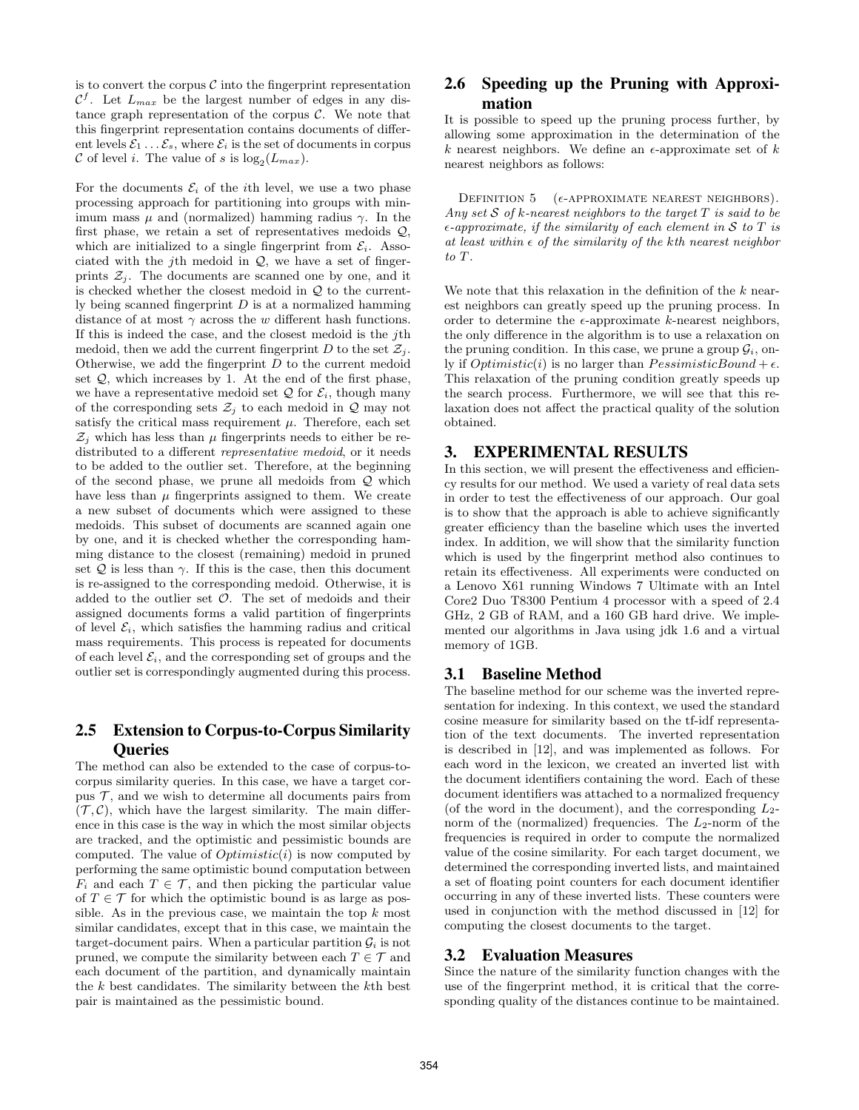is to convert the corpus  $\mathcal C$  into the fingerprint representation  $\mathcal{C}^f$ . Let  $L_{max}$  be the largest number of edges in any distance graph representation of the corpus  $C$ . We note that this fingerprint representation contains documents of different levels  $\mathcal{E}_1 \dots \mathcal{E}_s$ , where  $\mathcal{E}_i$  is the set of documents in corpus C of level *i*. The value of *s* is  $log_2(L_{max})$ .

For the documents  $\mathcal{E}_i$  of the *i*th level, we use a two phase processing approach for partitioning into groups with minimum mass  $\mu$  and (normalized) hamming radius  $\gamma$ . In the first phase, we retain a set of representatives medoids  $Q$ , which are initialized to a single fingerprint from  $\mathcal{E}_i$ . Associated with the j<sup>th</sup> medoid in  $Q$ , we have a set of fingerprints  $\mathcal{Z}_i$ . The documents are scanned one by one, and it is checked whether the closest medoid in  $Q$  to the currently being scanned fingerprint  $D$  is at a normalized hamming distance of at most  $\gamma$  across the w different hash functions. If this is indeed the case, and the closest medoid is the  $j$ th medoid, then we add the current fingerprint D to the set  $\mathcal{Z}_i$ . Otherwise, we add the fingerprint  $D$  to the current medoid set  $Q$ , which increases by 1. At the end of the first phase, we have a representative medoid set  $Q$  for  $\mathcal{E}_i$ , though many of the corresponding sets  $\mathcal{Z}_j$  to each medoid in  $\mathcal Q$  may not satisfy the critical mass requirement  $\mu$ . Therefore, each set  $\mathcal{Z}_i$  which has less than  $\mu$  fingerprints needs to either be redistributed to a different *representative medoid*, or it needs to be added to the outlier set. Therefore, at the beginning of the second phase, we prune all medoids from  $Q$  which have less than  $\mu$  fingerprints assigned to them. We create a new subset of documents which were assigned to these medoids. This subset of documents are scanned again one by one, and it is checked whether the corresponding hamming distance to the closest (remaining) medoid in pruned set  $Q$  is less than  $\gamma$ . If this is the case, then this document is re-assigned to the corresponding medoid. Otherwise, it is added to the outlier set  $\mathcal{O}$ . The set of medoids and their assigned documents forms a valid partition of fingerprints of level  $\mathcal{E}_i$ , which satisfies the hamming radius and critical mass requirements. This process is repeated for documents of each level  $\mathcal{E}_i$ , and the corresponding set of groups and the outlier set is correspondingly augmented during this process.

# **2.5 Extension to Corpus-to-Corpus Similarity Queries**

The method can also be extended to the case of corpus-tocorpus similarity queries. In this case, we have a target corpus  $\mathcal{T}$ , and we wish to determine all documents pairs from  $(\mathcal{T}, \mathcal{C})$ , which have the largest similarity. The main difference in this case is the way in which the most similar objects are tracked, and the optimistic and pessimistic bounds are computed. The value of  $Optimistic(i)$  is now computed by performing the same optimistic bound computation between  $F_i$  and each  $T \in \mathcal{T}$ , and then picking the particular value of  $T \in \mathcal{T}$  for which the optimistic bound is as large as possible. As in the previous case, we maintain the top  $k$  most similar candidates, except that in this case, we maintain the target-document pairs. When a particular partition  $\mathcal{G}_i$  is not pruned, we compute the similarity between each  $T \in \mathcal{T}$  and each document of the partition, and dynamically maintain the  $k$  best candidates. The similarity between the  $k$ <sup>th</sup> best pair is maintained as the pessimistic bound.

# **2.6 Speeding up the Pruning with Approximation**

It is possible to speed up the pruning process further, by allowing some approximation in the determination of the k nearest neighbors. We define an  $\epsilon$ -approximate set of k nearest neighbors as follows:

DEFINITION  $5$  ( $\epsilon$ -APPROXIMATE NEAREST NEIGHBORS). Any set  $S$  of  $k$ -nearest neighbors to the target  $T$  is said to be  $\epsilon$ -approximate, if the similarity of each element in S to T is at least within  $\epsilon$  of the similarity of the kth nearest neighbor to T.

We note that this relaxation in the definition of the  $k$  nearest neighbors can greatly speed up the pruning process. In order to determine the  $\epsilon$ -approximate k-nearest neighbors, the only difference in the algorithm is to use a relaxation on the pruning condition. In this case, we prune a group  $\mathcal{G}_i$ , only if  $Optimistic(i)$  is no larger than  $P \lessdot i \lessdot B \lessdot b$ This relaxation of the pruning condition greatly speeds up the search process. Furthermore, we will see that this relaxation does not affect the practical quality of the solution obtained.

# **3. EXPERIMENTAL RESULTS**

In this section, we will present the effectiveness and efficiency results for our method. We used a variety of real data sets in order to test the effectiveness of our approach. Our goal is to show that the approach is able to achieve significantly greater efficiency than the baseline which uses the inverted index. In addition, we will show that the similarity function which is used by the fingerprint method also continues to retain its effectiveness. All experiments were conducted on a Lenovo X61 running Windows 7 Ultimate with an Intel Core2 Duo T8300 Pentium 4 processor with a speed of 2.4 GHz, 2 GB of RAM, and a 160 GB hard drive. We implemented our algorithms in Java using jdk 1.6 and a virtual memory of 1GB.

# **3.1 Baseline Method**

The baseline method for our scheme was the inverted representation for indexing. In this context, we used the standard cosine measure for similarity based on the tf-idf representation of the text documents. The inverted representation is described in [12], and was implemented as follows. For each word in the lexicon, we created an inverted list with the document identifiers containing the word. Each of these document identifiers was attached to a normalized frequency (of the word in the document), and the corresponding  $L_2$ norm of the (normalized) frequencies. The  $L_2$ -norm of the frequencies is required in order to compute the normalized value of the cosine similarity. For each target document, we determined the corresponding inverted lists, and maintained a set of floating point counters for each document identifier occurring in any of these inverted lists. These counters were used in conjunction with the method discussed in [12] for computing the closest documents to the target.

#### **3.2 Evaluation Measures**

Since the nature of the similarity function changes with the use of the fingerprint method, it is critical that the corresponding quality of the distances continue to be maintained.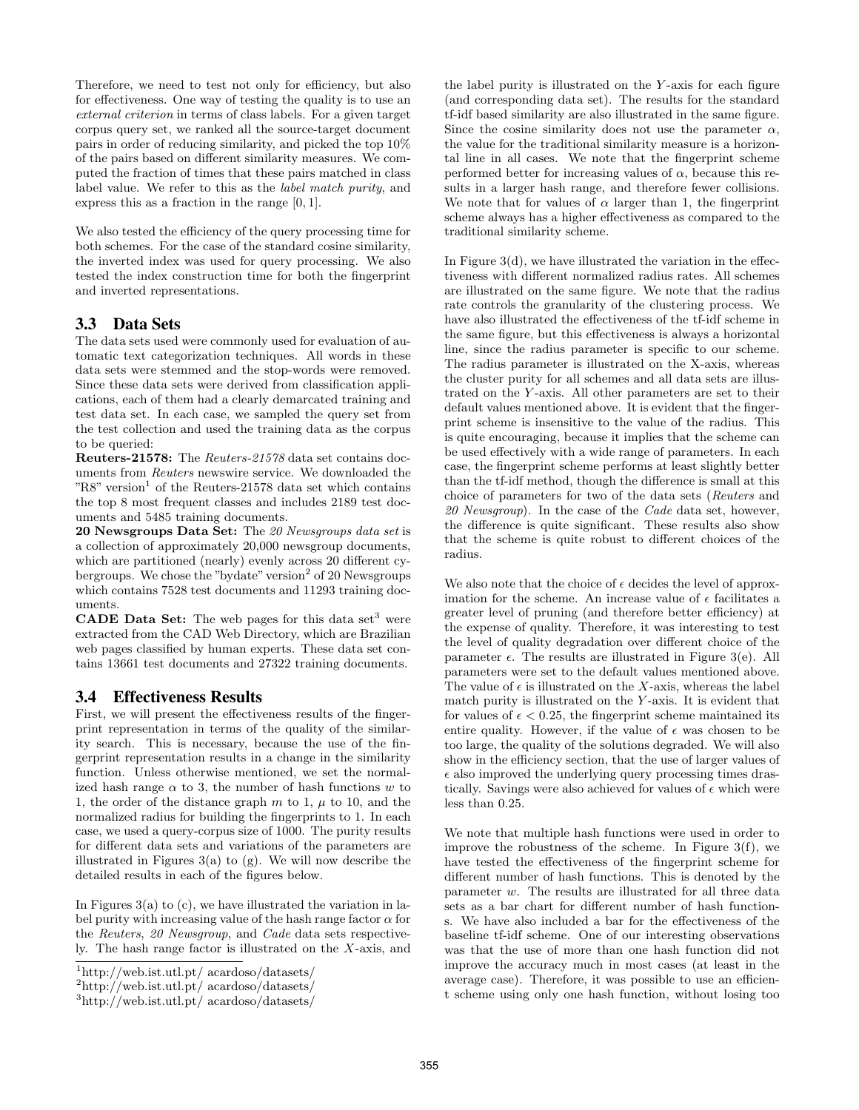Therefore, we need to test not only for efficiency, but also for effectiveness. One way of testing the quality is to use an external criterion in terms of class labels. For a given target corpus query set, we ranked all the source-target document pairs in order of reducing similarity, and picked the top 10% of the pairs based on different similarity measures. We computed the fraction of times that these pairs matched in class label value. We refer to this as the label match purity, and express this as a fraction in the range [0, 1].

We also tested the efficiency of the query processing time for both schemes. For the case of the standard cosine similarity, the inverted index was used for query processing. We also tested the index construction time for both the fingerprint and inverted representations.

# **3.3 Data Sets**

The data sets used were commonly used for evaluation of automatic text categorization techniques. All words in these data sets were stemmed and the stop-words were removed. Since these data sets were derived from classification applications, each of them had a clearly demarcated training and test data set. In each case, we sampled the query set from the test collection and used the training data as the corpus to be queried:

Reuters-21578: The Reuters-21578 data set contains documents from Reuters newswire service. We downloaded the "R8" version<sup>1</sup> of the Reuters-21578 data set which contains the top 8 most frequent classes and includes 2189 test documents and 5485 training documents.

20 Newsgroups Data Set: The 20 Newsgroups data set is a collection of approximately 20,000 newsgroup documents, which are partitioned (nearly) evenly across 20 different cybergroups. We chose the "bydate" version<sup>2</sup> of 20 Newsgroups which contains 7528 test documents and 11293 training documents.

**CADE Data Set:** The web pages for this data set<sup>3</sup> were extracted from the CAD Web Directory, which are Brazilian web pages classified by human experts. These data set contains 13661 test documents and 27322 training documents.

# **3.4 Effectiveness Results**

First, we will present the effectiveness results of the fingerprint representation in terms of the quality of the similarity search. This is necessary, because the use of the fingerprint representation results in a change in the similarity function. Unless otherwise mentioned, we set the normalized hash range  $\alpha$  to 3, the number of hash functions w to 1, the order of the distance graph  $m$  to 1,  $\mu$  to 10, and the normalized radius for building the fingerprints to 1. In each case, we used a query-corpus size of 1000. The purity results for different data sets and variations of the parameters are illustrated in Figures  $3(a)$  to (g). We will now describe the detailed results in each of the figures below.

In Figures  $3(a)$  to (c), we have illustrated the variation in label purity with increasing value of the hash range factor  $\alpha$  for the Reuters, 20 Newsgroup, and Cade data sets respectively. The hash range factor is illustrated on the  $X$ -axis, and the label purity is illustrated on the Y -axis for each figure (and corresponding data set). The results for the standard tf-idf based similarity are also illustrated in the same figure. Since the cosine similarity does not use the parameter  $\alpha$ , the value for the traditional similarity measure is a horizontal line in all cases. We note that the fingerprint scheme performed better for increasing values of  $\alpha$ , because this results in a larger hash range, and therefore fewer collisions. We note that for values of  $\alpha$  larger than 1, the fingerprint scheme always has a higher effectiveness as compared to the traditional similarity scheme.

In Figure  $3(d)$ , we have illustrated the variation in the effectiveness with different normalized radius rates. All schemes are illustrated on the same figure. We note that the radius rate controls the granularity of the clustering process. We have also illustrated the effectiveness of the tf-idf scheme in the same figure, but this effectiveness is always a horizontal line, since the radius parameter is specific to our scheme. The radius parameter is illustrated on the X-axis, whereas the cluster purity for all schemes and all data sets are illustrated on the Y -axis. All other parameters are set to their default values mentioned above. It is evident that the fingerprint scheme is insensitive to the value of the radius. This is quite encouraging, because it implies that the scheme can be used effectively with a wide range of parameters. In each case, the fingerprint scheme performs at least slightly better than the tf-idf method, though the difference is small at this choice of parameters for two of the data sets (Reuters and 20 Newsgroup). In the case of the Cade data set, however, the difference is quite significant. These results also show that the scheme is quite robust to different choices of the radius.

We also note that the choice of  $\epsilon$  decides the level of approximation for the scheme. An increase value of  $\epsilon$  facilitates a greater level of pruning (and therefore better efficiency) at the expense of quality. Therefore, it was interesting to test the level of quality degradation over different choice of the parameter  $\epsilon$ . The results are illustrated in Figure 3(e). All parameters were set to the default values mentioned above. The value of  $\epsilon$  is illustrated on the X-axis, whereas the label match purity is illustrated on the  $Y$ -axis. It is evident that for values of  $\epsilon < 0.25$ , the fingerprint scheme maintained its entire quality. However, if the value of  $\epsilon$  was chosen to be too large, the quality of the solutions degraded. We will also show in the efficiency section, that the use of larger values of  $\epsilon$  also improved the underlying query processing times drastically. Savings were also achieved for values of  $\epsilon$  which were less than 0.25.

We note that multiple hash functions were used in order to improve the robustness of the scheme. In Figure 3(f), we have tested the effectiveness of the fingerprint scheme for different number of hash functions. This is denoted by the parameter w. The results are illustrated for all three data sets as a bar chart for different number of hash functions. We have also included a bar for the effectiveness of the baseline tf-idf scheme. One of our interesting observations was that the use of more than one hash function did not improve the accuracy much in most cases (at least in the average case). Therefore, it was possible to use an efficient scheme using only one hash function, without losing too

<sup>1</sup>http://web.ist.utl.pt/ acardoso/datasets/

<sup>2</sup>http://web.ist.utl.pt/ acardoso/datasets/

<sup>3</sup>http://web.ist.utl.pt/ acardoso/datasets/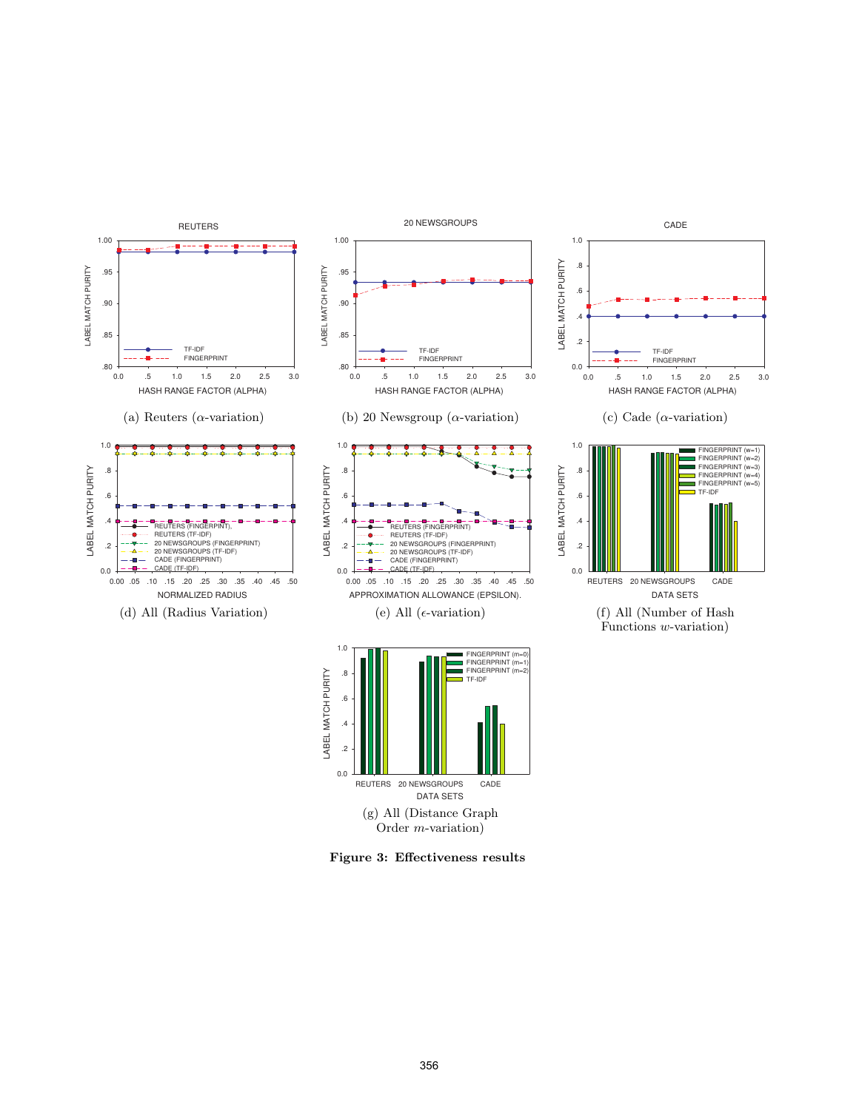

(g) All (Distance Graph Order m-variation)

Figure 3: Effectiveness results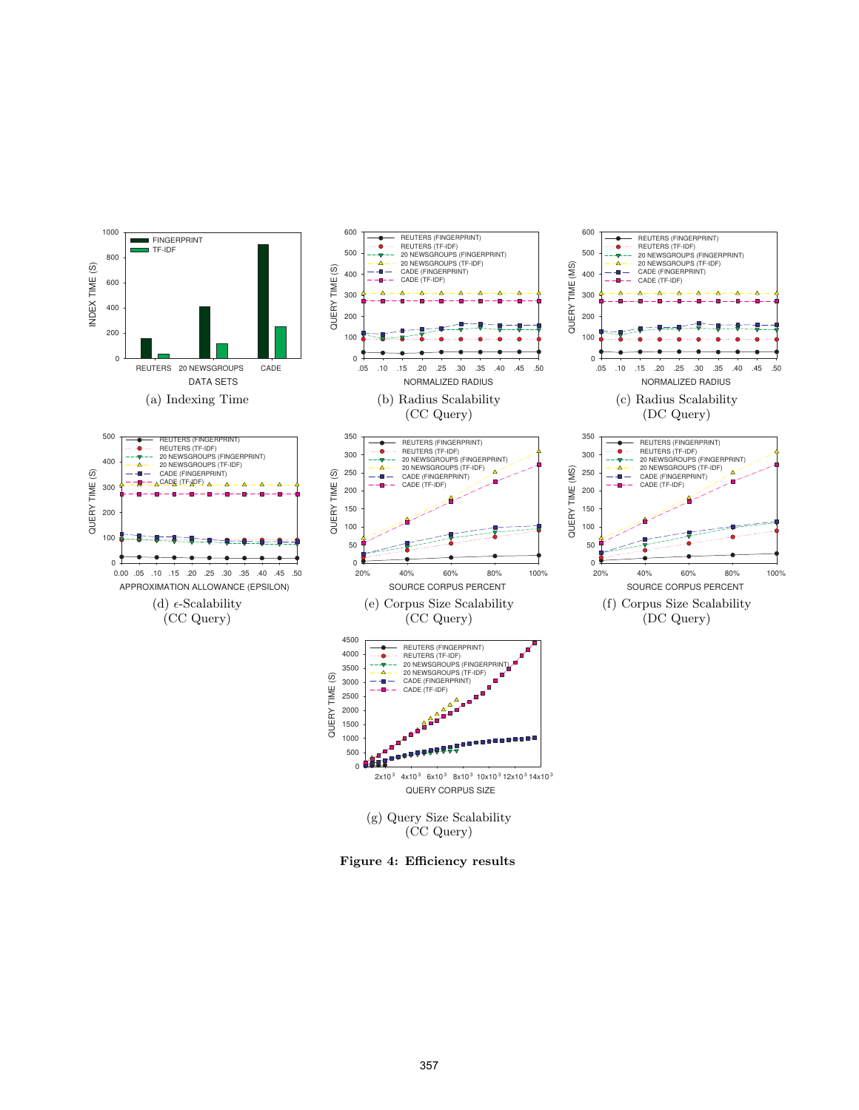

Figure 4: Efficiency results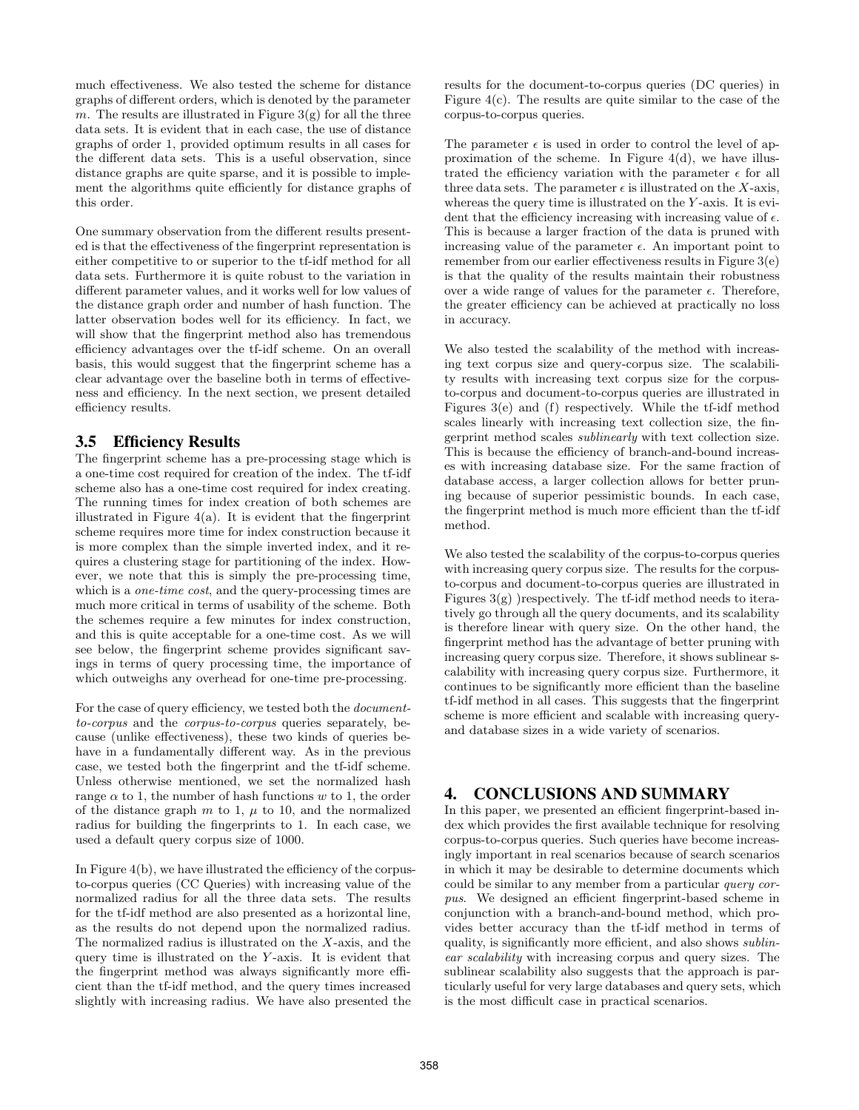much effectiveness. We also tested the scheme for distance graphs of different orders, which is denoted by the parameter m. The results are illustrated in Figure  $3(g)$  for all the three data sets. It is evident that in each case, the use of distance graphs of order 1, provided optimum results in all cases for the different data sets. This is a useful observation, since distance graphs are quite sparse, and it is possible to implement the algorithms quite efficiently for distance graphs of this order.

One summary observation from the different results presented is that the effectiveness of the fingerprint representation is either competitive to or superior to the tf-idf method for all data sets. Furthermore it is quite robust to the variation in different parameter values, and it works well for low values of the distance graph order and number of hash function. The latter observation bodes well for its efficiency. In fact, we will show that the fingerprint method also has tremendous efficiency advantages over the tf-idf scheme. On an overall basis, this would suggest that the fingerprint scheme has a clear advantage over the baseline both in terms of effectiveness and efficiency. In the next section, we present detailed efficiency results.

# **3.5 Efficiency Results**

The fingerprint scheme has a pre-processing stage which is a one-time cost required for creation of the index. The tf-idf scheme also has a one-time cost required for index creating. The running times for index creation of both schemes are illustrated in Figure 4(a). It is evident that the fingerprint scheme requires more time for index construction because it is more complex than the simple inverted index, and it requires a clustering stage for partitioning of the index. However, we note that this is simply the pre-processing time, which is a *one-time cost*, and the query-processing times are much more critical in terms of usability of the scheme. Both the schemes require a few minutes for index construction, and this is quite acceptable for a one-time cost. As we will see below, the fingerprint scheme provides significant savings in terms of query processing time, the importance of which outweighs any overhead for one-time pre-processing.

For the case of query efficiency, we tested both the documentto-corpus and the corpus-to-corpus queries separately, because (unlike effectiveness), these two kinds of queries behave in a fundamentally different way. As in the previous case, we tested both the fingerprint and the tf-idf scheme. Unless otherwise mentioned, we set the normalized hash range  $\alpha$  to 1, the number of hash functions w to 1, the order of the distance graph  $m$  to 1,  $\mu$  to 10, and the normalized radius for building the fingerprints to 1. In each case, we used a default query corpus size of 1000.

In Figure 4(b), we have illustrated the efficiency of the corpusto-corpus queries (CC Queries) with increasing value of the normalized radius for all the three data sets. The results for the tf-idf method are also presented as a horizontal line, as the results do not depend upon the normalized radius. The normalized radius is illustrated on the X-axis, and the query time is illustrated on the Y -axis. It is evident that the fingerprint method was always significantly more efficient than the tf-idf method, and the query times increased slightly with increasing radius. We have also presented the

results for the document-to-corpus queries (DC queries) in Figure 4(c). The results are quite similar to the case of the corpus-to-corpus queries.

The parameter  $\epsilon$  is used in order to control the level of approximation of the scheme. In Figure  $4(d)$ , we have illustrated the efficiency variation with the parameter  $\epsilon$  for all three data sets. The parameter  $\epsilon$  is illustrated on the X-axis, whereas the query time is illustrated on the  $Y$ -axis. It is evident that the efficiency increasing with increasing value of  $\epsilon$ . This is because a larger fraction of the data is pruned with increasing value of the parameter  $\epsilon$ . An important point to remember from our earlier effectiveness results in Figure 3(e) is that the quality of the results maintain their robustness over a wide range of values for the parameter  $\epsilon$ . Therefore, the greater efficiency can be achieved at practically no loss in accuracy.

We also tested the scalability of the method with increasing text corpus size and query-corpus size. The scalability results with increasing text corpus size for the corpusto-corpus and document-to-corpus queries are illustrated in Figures 3(e) and (f) respectively. While the tf-idf method scales linearly with increasing text collection size, the fingerprint method scales sublinearly with text collection size. This is because the efficiency of branch-and-bound increases with increasing database size. For the same fraction of database access, a larger collection allows for better pruning because of superior pessimistic bounds. In each case, the fingerprint method is much more efficient than the tf-idf method.

We also tested the scalability of the corpus-to-corpus queries with increasing query corpus size. The results for the corpusto-corpus and document-to-corpus queries are illustrated in Figures  $3(g)$  )respectively. The tf-idf method needs to iteratively go through all the query documents, and its scalability is therefore linear with query size. On the other hand, the fingerprint method has the advantage of better pruning with increasing query corpus size. Therefore, it shows sublinear scalability with increasing query corpus size. Furthermore, it continues to be significantly more efficient than the baseline tf-idf method in all cases. This suggests that the fingerprint scheme is more efficient and scalable with increasing queryand database sizes in a wide variety of scenarios.

# **4. CONCLUSIONS AND SUMMARY**

In this paper, we presented an efficient fingerprint-based index which provides the first available technique for resolving corpus-to-corpus queries. Such queries have become increasingly important in real scenarios because of search scenarios in which it may be desirable to determine documents which could be similar to any member from a particular query corpus. We designed an efficient fingerprint-based scheme in conjunction with a branch-and-bound method, which provides better accuracy than the tf-idf method in terms of quality, is significantly more efficient, and also shows sublinear scalability with increasing corpus and query sizes. The sublinear scalability also suggests that the approach is particularly useful for very large databases and query sets, which is the most difficult case in practical scenarios.